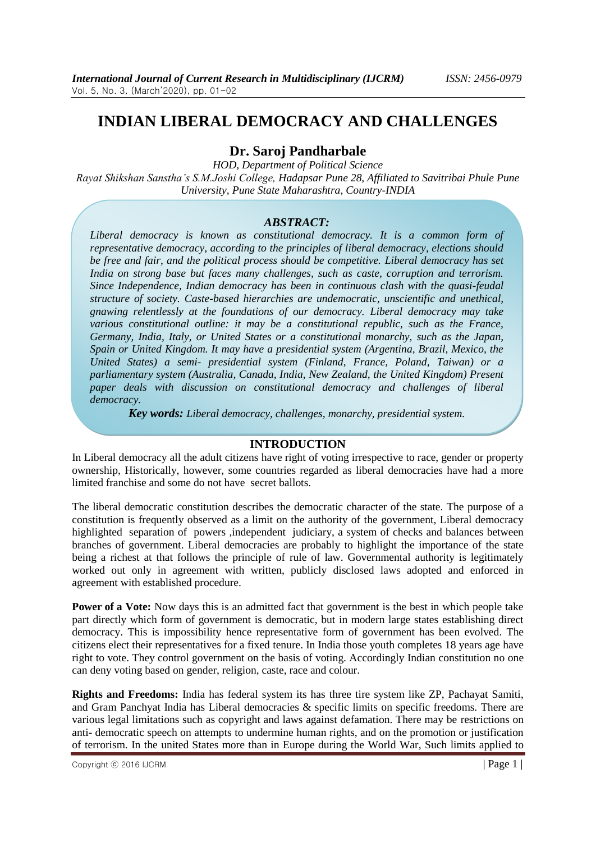# **INDIAN LIBERAL DEMOCRACY AND CHALLENGES**

## **Dr. Saroj Pandharbale**

*HOD, Department of Political Science Rayat Shikshan Sanstha"s S.M.Joshi College, Hadapsar Pune 28, Affiliated to Savitribai Phule Pune University, Pune State Maharashtra, Country-INDIA*

### *ABSTRACT:*

Liberal democracy is known as constitutional democracy. It is a common form of *representative democracy, according to the principles of liberal democracy, elections should be free and fair, and the political process should be competitive. Liberal democracy has set India on strong base but faces many challenges, such as caste, corruption and terrorism. Since Independence, Indian democracy has been in continuous clash with the quasi-feudal structure of society. Caste-based hierarchies are undemocratic, unscientific and unethical, gnawing relentlessly at the foundations of our democracy. Liberal democracy may take various constitutional outline: it may be a constitutional republic, such as the France, Germany, India, Italy, or United States or a constitutional monarchy, such as the Japan, Spain or United Kingdom. It may have a presidential system (Argentina, Brazil, Mexico, the United States) a semi- presidential system (Finland, France, Poland, Taiwan) or a parliamentary system (Australia, Canada, India, New Zealand, the United Kingdom) Present paper deals with discussion on constitutional democracy and challenges of liberal democracy.*

*Key words: Liberal democracy, challenges, monarchy, presidential system.*

### **INTRODUCTION**

In Liberal democracy all the adult citizens have right of voting irrespective to race, gender or property ownership, Historically, however, some countries regarded as liberal democracies have had a more limited franchise and some do not have secret ballots.

The liberal democratic constitution describes the democratic character of the state. The purpose of a constitution is frequently observed as a limit on the authority of the government, Liberal democracy highlighted separation of powers ,independent judiciary, a system of checks and balances between branches of government. Liberal democracies are probably to highlight the importance of the state being a richest at that follows the principle of rule of law. Governmental authority is legitimately worked out only in agreement with written, publicly disclosed laws adopted and enforced in agreement with established procedure.

**Power of a Vote:** Now days this is an admitted fact that government is the best in which people take part directly which form of government is democratic, but in modern large states establishing direct democracy. This is impossibility hence representative form of government has been evolved. The citizens elect their representatives for a fixed tenure. In India those youth completes 18 years age have right to vote. They control government on the basis of voting. Accordingly Indian constitution no one can deny voting based on gender, religion, caste, race and colour.

**Rights and Freedoms:** India has federal system its has three tire system like ZP, Pachayat Samiti, and Gram Panchyat India has Liberal democracies & specific limits on specific freedoms. There are various legal limitations such as copyright and laws against defamation. There may be restrictions on anti- democratic speech on attempts to undermine human rights, and on the promotion or justification of terrorism. In the united States more than in Europe during the World War, Such limits applied to